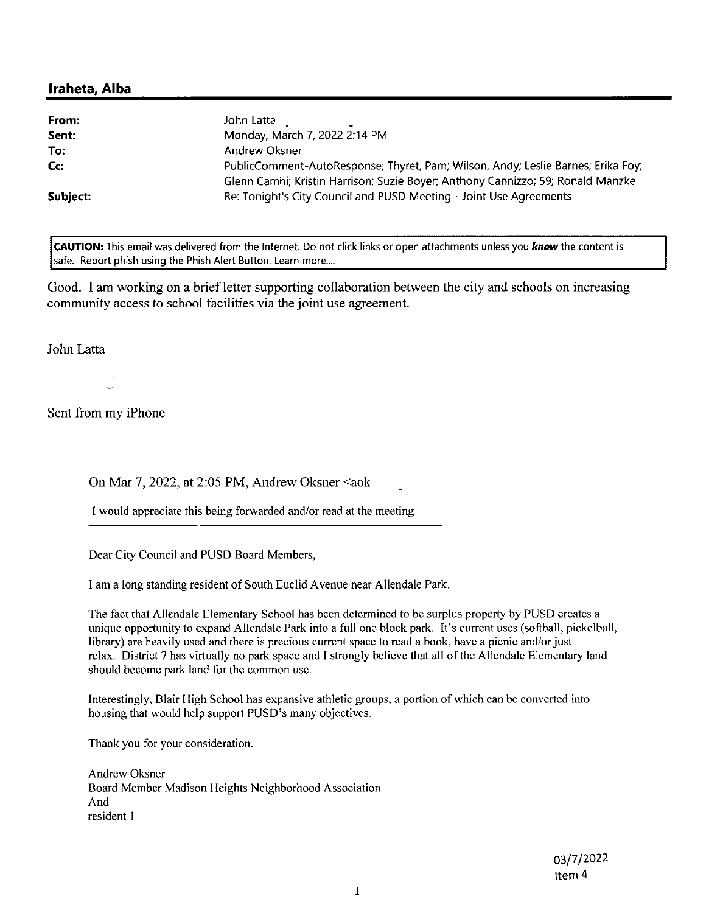| From:<br>Sent: | John Latta<br>Monday, March 7, 2022 2:14 PM                                                                                                                         |
|----------------|---------------------------------------------------------------------------------------------------------------------------------------------------------------------|
| To:            | Andrew Oksner                                                                                                                                                       |
| $Cc$ :         | PublicComment-AutoResponse; Thyret, Pam; Wilson, Andy; Leslie Barnes; Erika Foy;<br>Glenn Camhi; Kristin Harrison; Suzie Boyer; Anthony Cannizzo; 59; Ronald Manzke |
| Subject:       | Re: Tonight's City Council and PUSD Meeting - Joint Use Agreements                                                                                                  |

CAUTION: This email was delivered from the Internet. Do not click links or open attachments unless you know the content is safe. Report phish using the Phish Alert Button. Learn more...

Good. I am working on a brief letter supporting collaboration between the city and schools on increasing community access to school facilities via the joint use agreement.

John Latta

Sent from my iPhone

On Mar 7, 2022, at 2:05 PM, Andrew Oksner <aok

I would appreciate this being forwarded and/or read at the meeting

Dear City Council and PUSD Board Members,

I am a long standing resident of South Euclid Avenue near Allendale Park.

The fact that Allendale Elementary School has been determined to be surplus property by PUSD creates a unique opportunity to expand Allendale Park into a full one block park. It's current uses (softball, pickelball, library) are heavily used and there is precious current space to read a book, have a picnic and/or just relax. District 7 has virtually no park space and I strongly believe that all of the Allendale Elementary land should become park land for the common use.

Interestingly, Blair High School has expansive athletic groups, a portion of which can be converted into housing that would help support PUSD's many objectives.

Thank you for your consideration.

Andrew Oksner Board Member Madison Heights Neighborhood Association And resident 1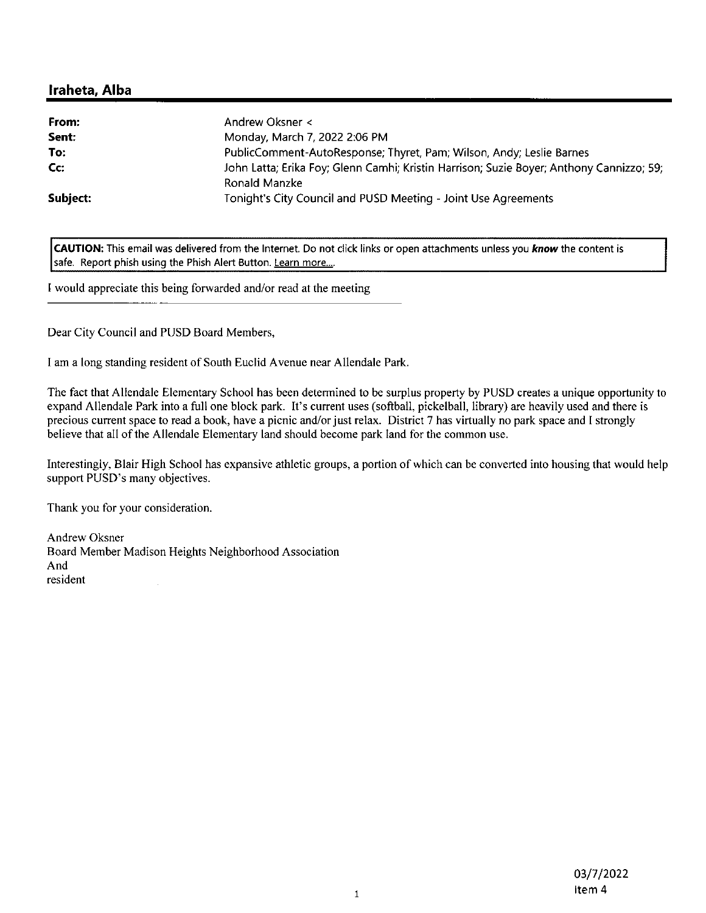| From:    | Andrew Oksner <                                                                                           |
|----------|-----------------------------------------------------------------------------------------------------------|
| Sent:    | Monday, March 7, 2022 2:06 PM                                                                             |
| To:      | PublicComment-AutoResponse; Thyret, Pam; Wilson, Andy; Leslie Barnes                                      |
| Cc:      | John Latta; Erika Foy; Glenn Camhi; Kristin Harrison; Suzie Boyer; Anthony Cannizzo; 59;<br>Ronald Manzke |
| Subject: | Tonight's City Council and PUSD Meeting - Joint Use Agreements                                            |

CAUTION: This email was delivered from the Internet. Do not click links or open attachments unless you know the content is safe. Report phish using the Phish Alert Button. Learn more....

I would appreciate this being forwarded and/or read at the meeting

Dear City Council and PUSD Board Members,

I am a long standing resident of South Euclid Avenue near Allendale Park.

The fact that Allendale Elementary School has been determined to be surplus property by PUSD creates a unique opportunity to expand Allendale Park into a full one block park. It's current uses (softball, pickelball, library) are heavily used and there is precious current space to read a book, have a picnic and/or just relax. District 7 has virtually no park space and I strongly believe that all of the Allendale Elementary land should become park land for the common use.

Interestingly, Blair High School has expansive athletic groups, a portion of which can be converted into housing that would help support PUSD's many objectives.

Thank you for your consideration.

**Andrew Oksner** Board Member Madison Heights Neighborhood Association And resident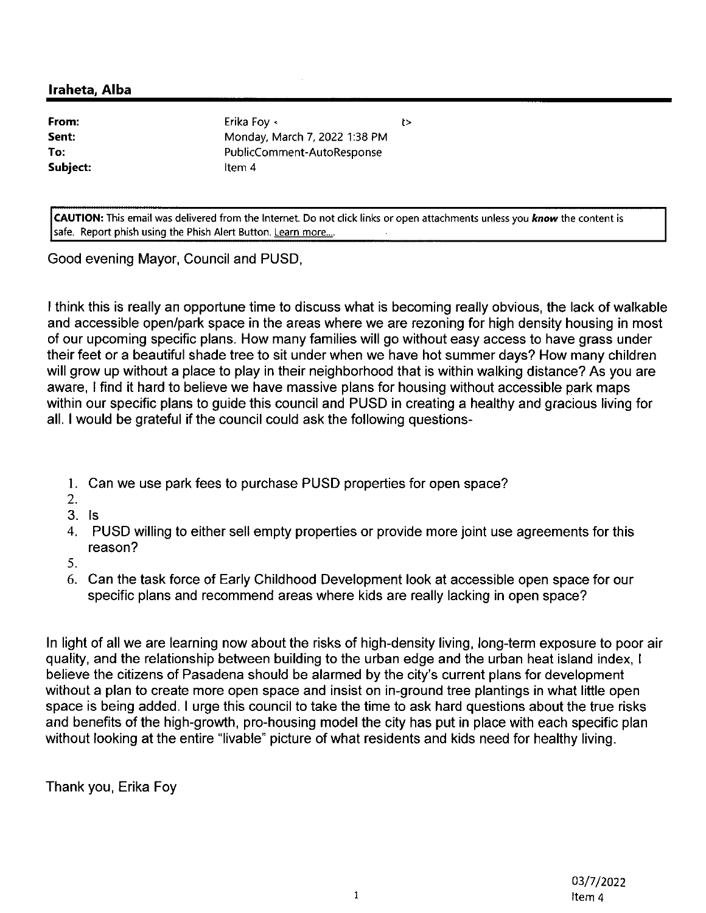From: Sent: To: Subject:

Erika Foy < Monday, March 7, 2022 1:38 PM PublicComment-AutoResponse Item 4

CAUTION: This email was delivered from the Internet. Do not click links or open attachments unless you know the content is safe. Report phish using the Phish Alert Button. Learn more....

ł>

Good evening Mayor, Council and PUSD,

I think this is really an opportune time to discuss what is becoming really obvious, the lack of walkable and accessible open/park space in the areas where we are rezoning for high density housing in most of our upcoming specific plans. How many families will go without easy access to have grass under their feet or a beautiful shade tree to sit under when we have hot summer days? How many children will grow up without a place to play in their neighborhood that is within walking distance? As you are aware, I find it hard to believe we have massive plans for housing without accessible park maps within our specific plans to guide this council and PUSD in creating a healthy and gracious living for all. I would be grateful if the council could ask the following questions-

- 1. Can we use park fees to purchase PUSD properties for open space?
- $2.$
- $3.$  Is
- 4. PUSD willing to either sell empty properties or provide more joint use agreements for this reason?
- 5.
- 6. Can the task force of Early Childhood Development look at accessible open space for our specific plans and recommend areas where kids are really lacking in open space?

In light of all we are learning now about the risks of high-density living, long-term exposure to poor air quality, and the relationship between building to the urban edge and the urban heat island index, I believe the citizens of Pasadena should be alarmed by the city's current plans for development without a plan to create more open space and insist on in-ground tree plantings in what little open space is being added. I urge this council to take the time to ask hard questions about the true risks and benefits of the high-growth, pro-housing model the city has put in place with each specific plan without looking at the entire "livable" picture of what residents and kids need for healthy living.

Thank you, Erika Foy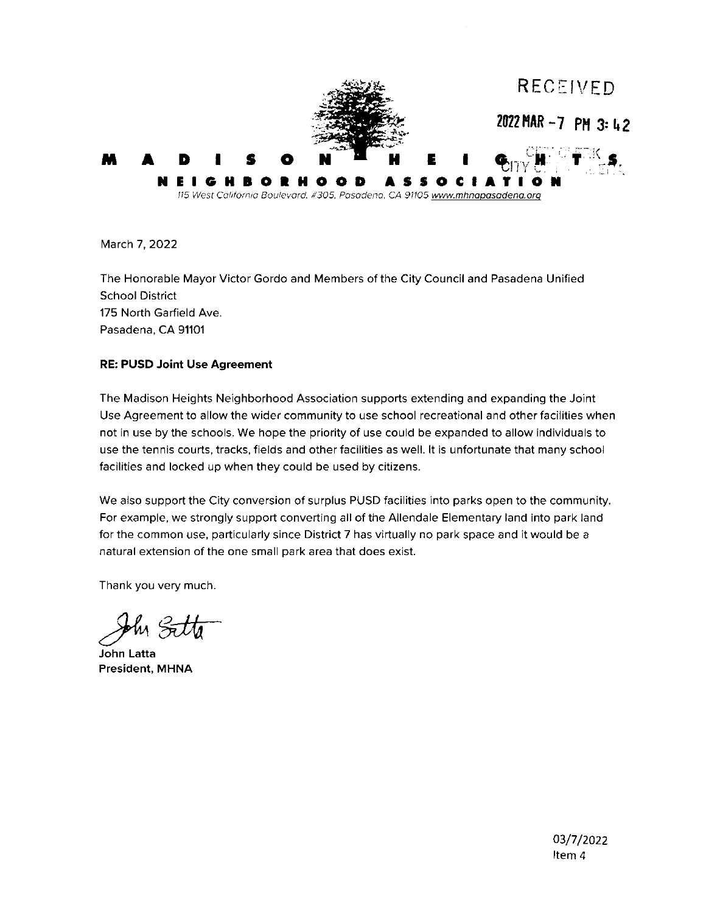

March 7, 2022

The Honorable Mayor Victor Gordo and Members of the City Council and Pasadena Unified **School District** 175 North Garfield Ave. Pasadena, CA 91101

### **RE: PUSD Joint Use Agreement**

The Madison Heights Neighborhood Association supports extending and expanding the Joint Use Agreement to allow the wider community to use school recreational and other facilities when not in use by the schools. We hope the priority of use could be expanded to allow individuals to use the tennis courts, tracks, fields and other facilities as well. It is unfortunate that many school facilities and locked up when they could be used by citizens.

We also support the City conversion of surplus PUSD facilities into parks open to the community. For example, we strongly support converting all of the Allendale Elementary land into park land for the common use, particularly since District 7 has virtually no park space and it would be a natural extension of the one small park area that does exist.

Thank you very much.

John Latta **President, MHNA**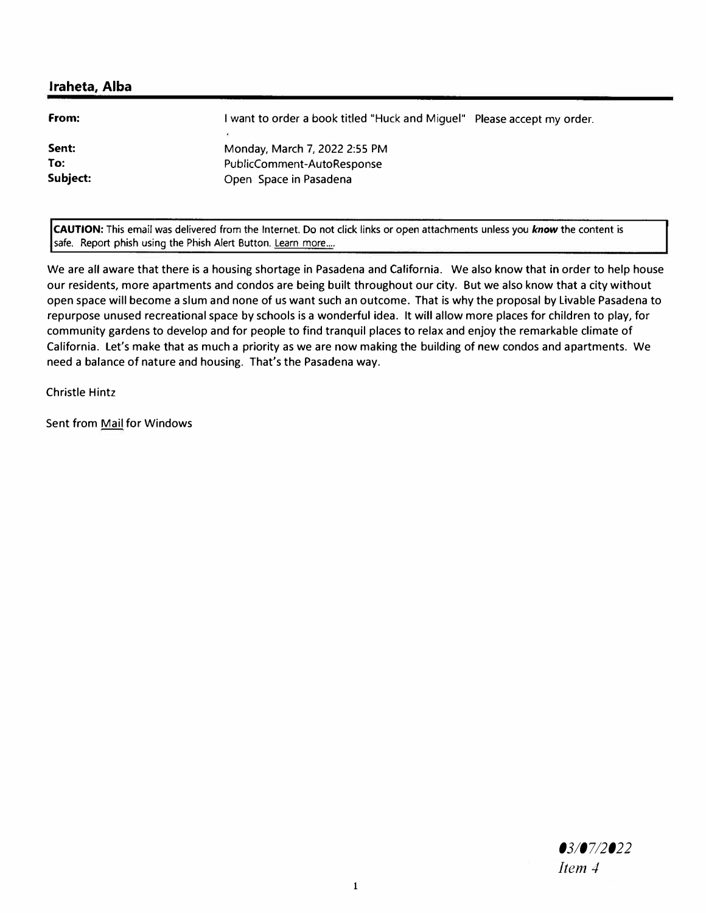| Monday, March 7, 2022 2:55 PM |                                                                         |
|-------------------------------|-------------------------------------------------------------------------|
| PublicComment-AutoResponse    |                                                                         |
| Open Space in Pasadena        |                                                                         |
|                               | I want to order a book titled "Huck and Miguel" Please accept my order. |

**CAUTION:** This email was delivered from the Internet. Do not click links or open attachments unless you *know* the content is safe. Report phish using the Phish Alert Button. Learn more....

We are all aware that there is a housing shortage in Pasadena and California. We also know that in order to help house our residents, more apartments and condos are being built throughout our city. But we also know that a city without open space will become a slum and none of us want such an outcome. That is why the proposal by Livable Pasadena to repurpose unused recreational space by schools is a wonderful idea. It will allow more places for children to play, for community gardens to develop and for people to find tranquil places to relax and enjoy the remarkable climate of California. Let's make that as much a priority as we are now making the building of new condos and apartments. We need a balance of nature and housing. That's the Pasadena way.

Christle Hintz

Sent from Mail for Windows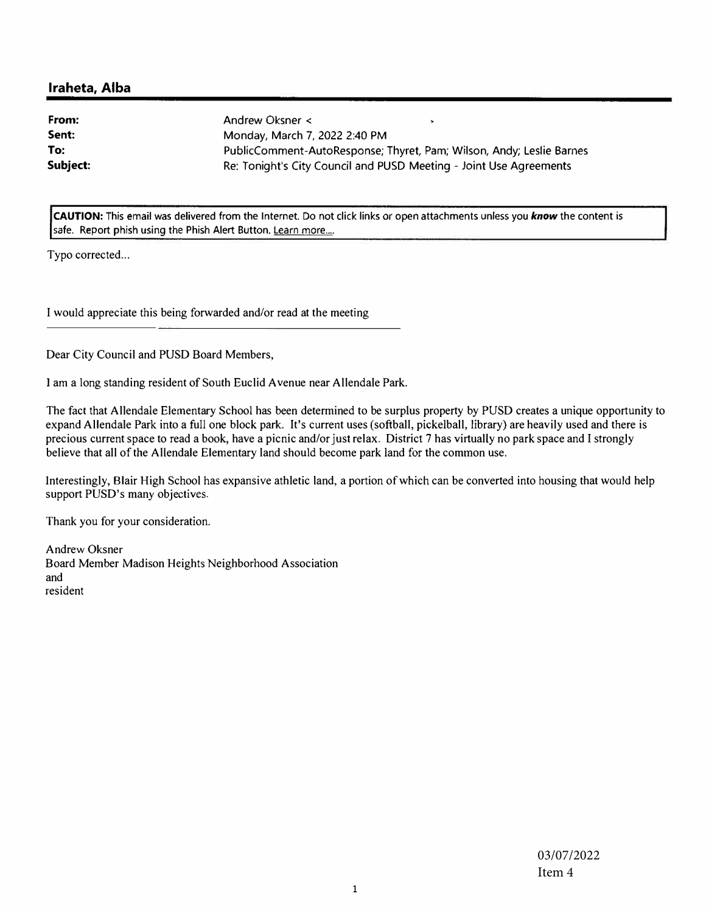| From:    | Andrew Oksner <                                                      |  |
|----------|----------------------------------------------------------------------|--|
| Sent:    | Monday, March 7, 2022 2:40 PM                                        |  |
| To:      | PublicComment-AutoResponse; Thyret, Pam; Wilson, Andy; Leslie Barnes |  |
| Subject: | Re: Tonight's City Council and PUSD Meeting - Joint Use Agreements   |  |

**CAUTION:** This email was delivered from the Internet. Do not click links *or* open attachments unless you *know* the content is safe. Report phish using the Phish Alert Button. Learn more....

Typo corrected...

I would appreciate this being forwarded and/or read at the meeting

Dear City Council and PUSD Board Members,

I am a long standing resident of South Euclid Avenue near Allendale Park.

The fact that Allendale Elementary School has been determined to be surplus property by PUSD creates a unique opportunity to expand Allendale Park into a full one block park. It's current uses (softball, pickelball, library) are heavily used and there is precious current space to read a book, have a picnic and/or just relax. District 7 has virtually no park space and I strongly believe that all of the Allendale Elementary land should become park land for the common use.

Interestingly, Blair High School has expansive athletic land, a portion of which can be converted into housing that would help support PUSD's many objectives.

Thank you for your consideration.

Andrew Oksner Board Member Madison Heights Neighborhood Association and resident

> 03/07/2022 Item 4